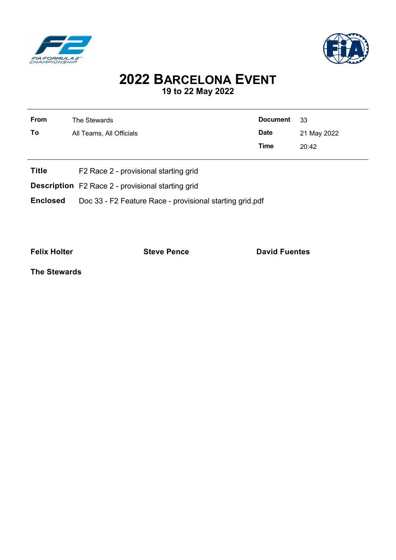



## **2022 BARCELONA EVENT 19 to 22 May 2022**

| From | The Stewards             | Document 33 |             |
|------|--------------------------|-------------|-------------|
| To   | All Teams, All Officials | Date        | 21 May 2022 |
|      |                          | Time        | 20:42       |
|      |                          |             |             |

- **Title** F2 Race 2 provisional starting grid
- **Description** F2 Race 2 provisional starting grid
- **Enclosed** Doc 33 F2 Feature Race provisional starting grid.pdf

**Felix Holter Construction Steve Pence Construction David Fuentes** 

**The Stewards**